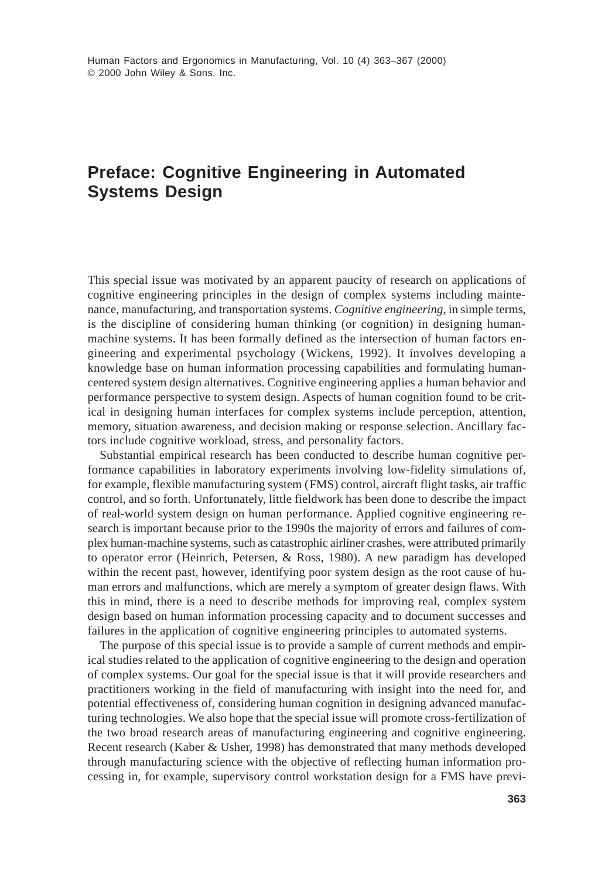## **Preface: Cognitive Engineering in Automated Systems Design**

This special issue was motivated by an apparent paucity of research on applications of cognitive engineering principles in the design of complex systems including maintenance, manufacturing, and transportation systems. *Cognitive engineering*, in simple terms, is the discipline of considering human thinking (or cognition) in designing humanmachine systems. It has been formally defined as the intersection of human factors engineering and experimental psychology (Wickens, 1992). It involves developing a knowledge base on human information processing capabilities and formulating humancentered system design alternatives. Cognitive engineering applies a human behavior and performance perspective to system design. Aspects of human cognition found to be critical in designing human interfaces for complex systems include perception, attention, memory, situation awareness, and decision making or response selection. Ancillary factors include cognitive workload, stress, and personality factors.

Substantial empirical research has been conducted to describe human cognitive performance capabilities in laboratory experiments involving low-fidelity simulations of, for example, flexible manufacturing system (FMS) control, aircraft flight tasks, air traffic control, and so forth. Unfortunately, little fieldwork has been done to describe the impact of real-world system design on human performance. Applied cognitive engineering research is important because prior to the 1990s the majority of errors and failures of complex human-machine systems, such as catastrophic airliner crashes, were attributed primarily to operator error (Heinrich, Petersen, & Ross, 1980). A new paradigm has developed within the recent past, however, identifying poor system design as the root cause of human errors and malfunctions, which are merely a symptom of greater design flaws. With this in mind, there is a need to describe methods for improving real, complex system design based on human information processing capacity and to document successes and failures in the application of cognitive engineering principles to automated systems.

The purpose of this special issue is to provide a sample of current methods and empirical studies related to the application of cognitive engineering to the design and operation of complex systems. Our goal for the special issue is that it will provide researchers and practitioners working in the field of manufacturing with insight into the need for, and potential effectiveness of, considering human cognition in designing advanced manufacturing technologies. We also hope that the special issue will promote cross-fertilization of the two broad research areas of manufacturing engineering and cognitive engineering. Recent research (Kaber & Usher, 1998) has demonstrated that many methods developed through manufacturing science with the objective of reflecting human information processing in, for example, supervisory control workstation design for a FMS have previ-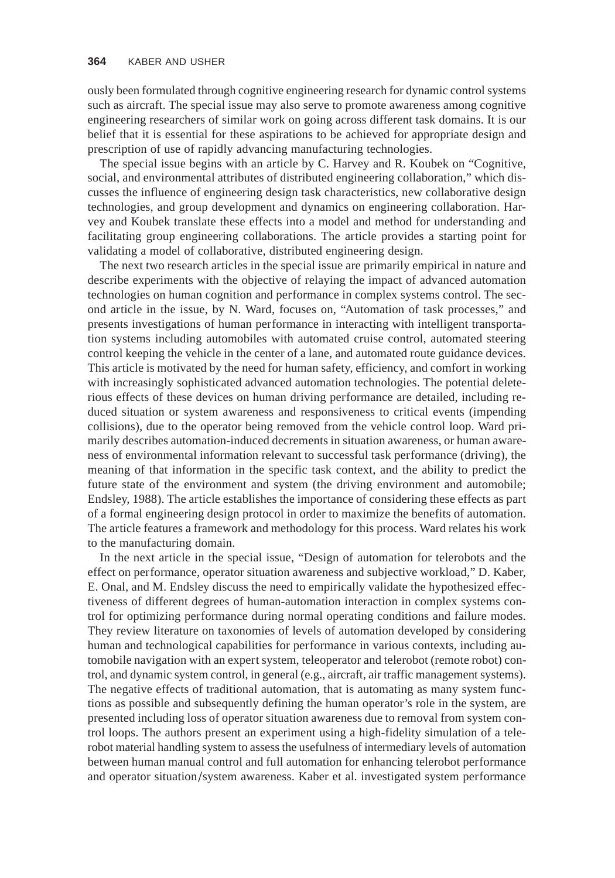ously been formulated through cognitive engineering research for dynamic control systems such as aircraft. The special issue may also serve to promote awareness among cognitive engineering researchers of similar work on going across different task domains. It is our belief that it is essential for these aspirations to be achieved for appropriate design and prescription of use of rapidly advancing manufacturing technologies.

The special issue begins with an article by C. Harvey and R. Koubek on "Cognitive, social, and environmental attributes of distributed engineering collaboration," which discusses the influence of engineering design task characteristics, new collaborative design technologies, and group development and dynamics on engineering collaboration. Harvey and Koubek translate these effects into a model and method for understanding and facilitating group engineering collaborations. The article provides a starting point for validating a model of collaborative, distributed engineering design.

The next two research articles in the special issue are primarily empirical in nature and describe experiments with the objective of relaying the impact of advanced automation technologies on human cognition and performance in complex systems control. The second article in the issue, by N. Ward, focuses on, "Automation of task processes," and presents investigations of human performance in interacting with intelligent transportation systems including automobiles with automated cruise control, automated steering control keeping the vehicle in the center of a lane, and automated route guidance devices. This article is motivated by the need for human safety, efficiency, and comfort in working with increasingly sophisticated advanced automation technologies. The potential deleterious effects of these devices on human driving performance are detailed, including reduced situation or system awareness and responsiveness to critical events (impending collisions), due to the operator being removed from the vehicle control loop. Ward primarily describes automation-induced decrements in situation awareness, or human awareness of environmental information relevant to successful task performance (driving), the meaning of that information in the specific task context, and the ability to predict the future state of the environment and system (the driving environment and automobile; Endsley, 1988). The article establishes the importance of considering these effects as part of a formal engineering design protocol in order to maximize the benefits of automation. The article features a framework and methodology for this process. Ward relates his work to the manufacturing domain.

In the next article in the special issue, "Design of automation for telerobots and the effect on performance, operator situation awareness and subjective workload," D. Kaber, E. Onal, and M. Endsley discuss the need to empirically validate the hypothesized effectiveness of different degrees of human-automation interaction in complex systems control for optimizing performance during normal operating conditions and failure modes. They review literature on taxonomies of levels of automation developed by considering human and technological capabilities for performance in various contexts, including automobile navigation with an expert system, teleoperator and telerobot (remote robot) control, and dynamic system control, in general (e.g., aircraft, air traffic management systems). The negative effects of traditional automation, that is automating as many system functions as possible and subsequently defining the human operator's role in the system, are presented including loss of operator situation awareness due to removal from system control loops. The authors present an experiment using a high-fidelity simulation of a telerobot material handling system to assess the usefulness of intermediary levels of automation between human manual control and full automation for enhancing telerobot performance and operator situation/system awareness. Kaber et al. investigated system performance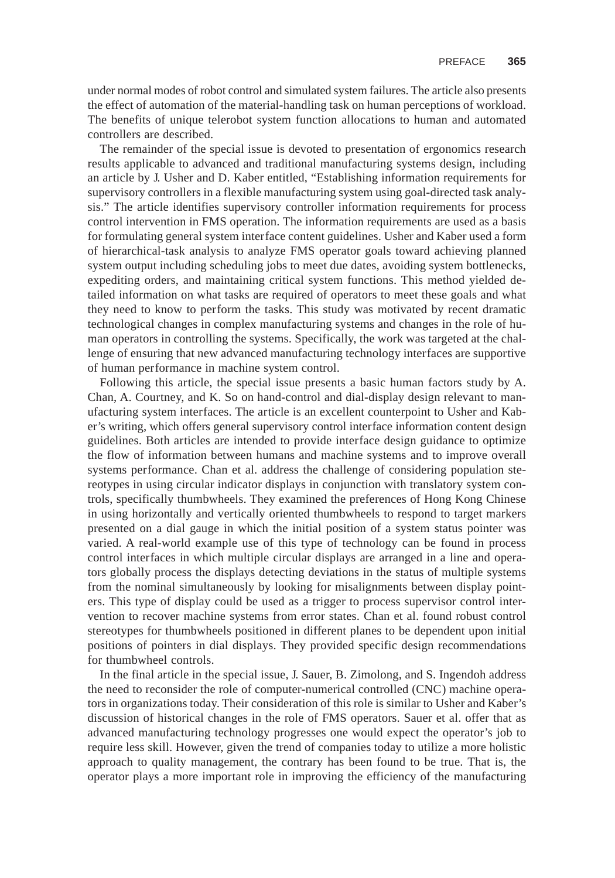under normal modes of robot control and simulated system failures. The article also presents the effect of automation of the material-handling task on human perceptions of workload. The benefits of unique telerobot system function allocations to human and automated controllers are described.

The remainder of the special issue is devoted to presentation of ergonomics research results applicable to advanced and traditional manufacturing systems design, including an article by J. Usher and D. Kaber entitled, "Establishing information requirements for supervisory controllers in a flexible manufacturing system using goal-directed task analysis." The article identifies supervisory controller information requirements for process control intervention in FMS operation. The information requirements are used as a basis for formulating general system interface content guidelines. Usher and Kaber used a form of hierarchical-task analysis to analyze FMS operator goals toward achieving planned system output including scheduling jobs to meet due dates, avoiding system bottlenecks, expediting orders, and maintaining critical system functions. This method yielded detailed information on what tasks are required of operators to meet these goals and what they need to know to perform the tasks. This study was motivated by recent dramatic technological changes in complex manufacturing systems and changes in the role of human operators in controlling the systems. Specifically, the work was targeted at the challenge of ensuring that new advanced manufacturing technology interfaces are supportive of human performance in machine system control.

Following this article, the special issue presents a basic human factors study by A. Chan, A. Courtney, and K. So on hand-control and dial-display design relevant to manufacturing system interfaces. The article is an excellent counterpoint to Usher and Kaber's writing, which offers general supervisory control interface information content design guidelines. Both articles are intended to provide interface design guidance to optimize the flow of information between humans and machine systems and to improve overall systems performance. Chan et al. address the challenge of considering population stereotypes in using circular indicator displays in conjunction with translatory system controls, specifically thumbwheels. They examined the preferences of Hong Kong Chinese in using horizontally and vertically oriented thumbwheels to respond to target markers presented on a dial gauge in which the initial position of a system status pointer was varied. A real-world example use of this type of technology can be found in process control interfaces in which multiple circular displays are arranged in a line and operators globally process the displays detecting deviations in the status of multiple systems from the nominal simultaneously by looking for misalignments between display pointers. This type of display could be used as a trigger to process supervisor control intervention to recover machine systems from error states. Chan et al. found robust control stereotypes for thumbwheels positioned in different planes to be dependent upon initial positions of pointers in dial displays. They provided specific design recommendations for thumbwheel controls.

In the final article in the special issue, J. Sauer, B. Zimolong, and S. Ingendoh address the need to reconsider the role of computer-numerical controlled (CNC) machine operators in organizations today. Their consideration of this role is similar to Usher and Kaber's discussion of historical changes in the role of FMS operators. Sauer et al. offer that as advanced manufacturing technology progresses one would expect the operator's job to require less skill. However, given the trend of companies today to utilize a more holistic approach to quality management, the contrary has been found to be true. That is, the operator plays a more important role in improving the efficiency of the manufacturing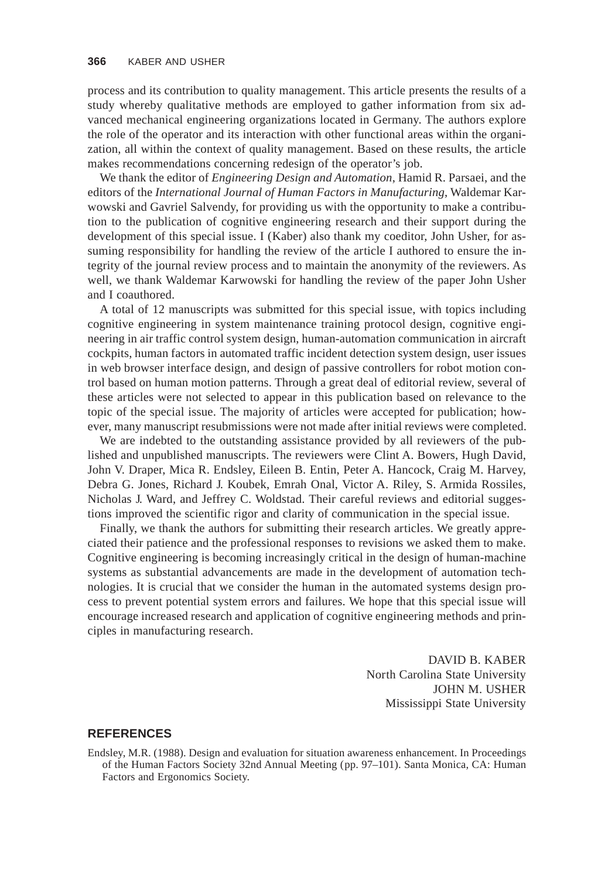process and its contribution to quality management. This article presents the results of a study whereby qualitative methods are employed to gather information from six advanced mechanical engineering organizations located in Germany. The authors explore the role of the operator and its interaction with other functional areas within the organization, all within the context of quality management. Based on these results, the article makes recommendations concerning redesign of the operator's job.

We thank the editor of *Engineering Design and Automation*, Hamid R. Parsaei, and the editors of the *International Journal of Human Factors in Manufacturing*, Waldemar Karwowski and Gavriel Salvendy, for providing us with the opportunity to make a contribution to the publication of cognitive engineering research and their support during the development of this special issue. I (Kaber) also thank my coeditor, John Usher, for assuming responsibility for handling the review of the article I authored to ensure the integrity of the journal review process and to maintain the anonymity of the reviewers. As well, we thank Waldemar Karwowski for handling the review of the paper John Usher and I coauthored.

A total of 12 manuscripts was submitted for this special issue, with topics including cognitive engineering in system maintenance training protocol design, cognitive engineering in air traffic control system design, human-automation communication in aircraft cockpits, human factors in automated traffic incident detection system design, user issues in web browser interface design, and design of passive controllers for robot motion control based on human motion patterns. Through a great deal of editorial review, several of these articles were not selected to appear in this publication based on relevance to the topic of the special issue. The majority of articles were accepted for publication; however, many manuscript resubmissions were not made after initial reviews were completed.

We are indebted to the outstanding assistance provided by all reviewers of the published and unpublished manuscripts. The reviewers were Clint A. Bowers, Hugh David, John V. Draper, Mica R. Endsley, Eileen B. Entin, Peter A. Hancock, Craig M. Harvey, Debra G. Jones, Richard J. Koubek, Emrah Onal, Victor A. Riley, S. Armida Rossiles, Nicholas J. Ward, and Jeffrey C. Woldstad. Their careful reviews and editorial suggestions improved the scientific rigor and clarity of communication in the special issue.

Finally, we thank the authors for submitting their research articles. We greatly appreciated their patience and the professional responses to revisions we asked them to make. Cognitive engineering is becoming increasingly critical in the design of human-machine systems as substantial advancements are made in the development of automation technologies. It is crucial that we consider the human in the automated systems design process to prevent potential system errors and failures. We hope that this special issue will encourage increased research and application of cognitive engineering methods and principles in manufacturing research.

> DAVID B. KABER North Carolina State University JOHN M. USHER Mississippi State University

## **REFERENCES**

Endsley, M.R. (1988). Design and evaluation for situation awareness enhancement. In Proceedings of the Human Factors Society 32nd Annual Meeting (pp. 97–101). Santa Monica, CA: Human Factors and Ergonomics Society.